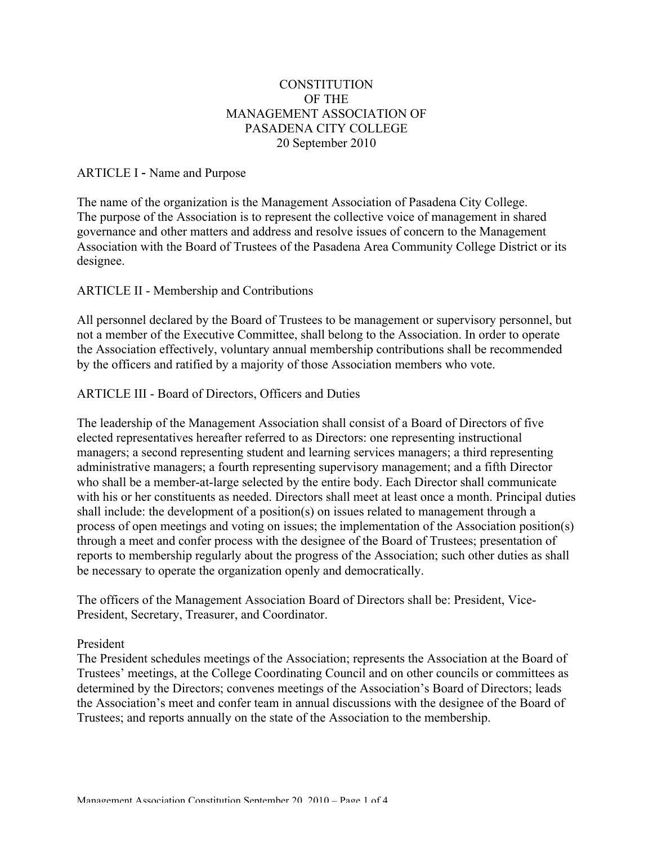# **CONSTITUTION** OF THE MANAGEMENT ASSOCIATION OF PASADENA CITY COLLEGE 20 September 2010

## ARTICLE I - Name and Purpose

The name of the organization is the Management Association of Pasadena City College. The purpose of the Association is to represent the collective voice of management in shared governance and other matters and address and resolve issues of concern to the Management Association with the Board of Trustees of the Pasadena Area Community College District or its designee.

# ARTICLE II - Membership and Contributions

All personnel declared by the Board of Trustees to be management or supervisory personnel, but not a member of the Executive Committee, shall belong to the Association. In order to operate the Association effectively, voluntary annual membership contributions shall be recommended by the officers and ratified by a majority of those Association members who vote.

# ARTICLE III - Board of Directors, Officers and Duties

The leadership of the Management Association shall consist of a Board of Directors of five elected representatives hereafter referred to as Directors: one representing instructional managers; a second representing student and learning services managers; a third representing administrative managers; a fourth representing supervisory management; and a fifth Director who shall be a member-at-large selected by the entire body. Each Director shall communicate with his or her constituents as needed. Directors shall meet at least once a month. Principal duties shall include: the development of a position(s) on issues related to management through a process of open meetings and voting on issues; the implementation of the Association position(s) through a meet and confer process with the designee of the Board of Trustees; presentation of reports to membership regularly about the progress of the Association; such other duties as shall be necessary to operate the organization openly and democratically.

The officers of the Management Association Board of Directors shall be: President, Vice-President, Secretary, Treasurer, and Coordinator.

## President

The President schedules meetings of the Association; represents the Association at the Board of Trustees' meetings, at the College Coordinating Council and on other councils or committees as determined by the Directors; convenes meetings of the Association's Board of Directors; leads the Association's meet and confer team in annual discussions with the designee of the Board of Trustees; and reports annually on the state of the Association to the membership.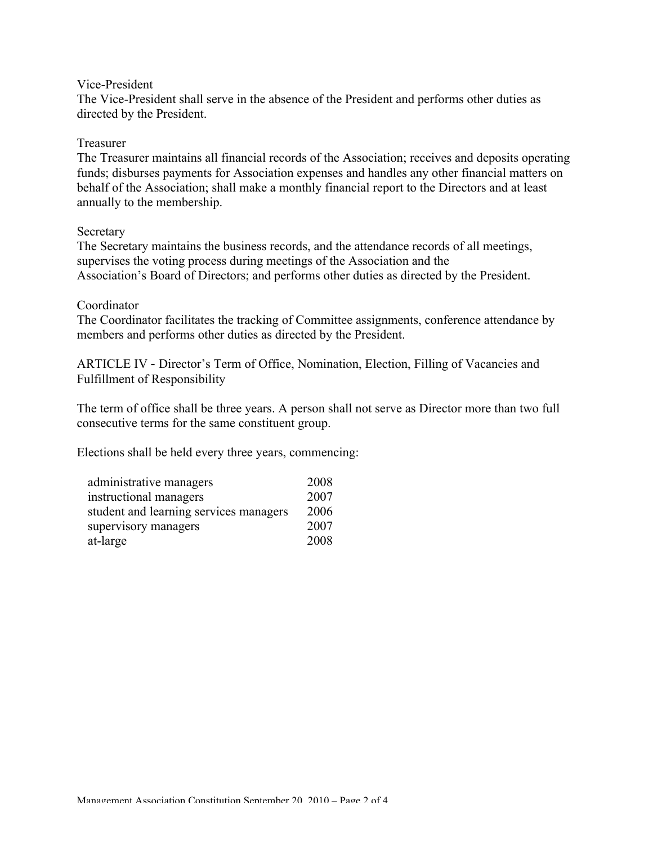#### Vice-President

The Vice-President shall serve in the absence of the President and performs other duties as directed by the President.

### Treasurer

The Treasurer maintains all financial records of the Association; receives and deposits operating funds; disburses payments for Association expenses and handles any other financial matters on behalf of the Association; shall make a monthly financial report to the Directors and at least annually to the membership.

### Secretary

The Secretary maintains the business records, and the attendance records of all meetings, supervises the voting process during meetings of the Association and the Association's Board of Directors; and performs other duties as directed by the President.

### Coordinator

The Coordinator facilitates the tracking of Committee assignments, conference attendance by members and performs other duties as directed by the President.

ARTICLE IV - Director's Term of Office, Nomination, Election, Filling of Vacancies and Fulfillment of Responsibility

The term of office shall be three years. A person shall not serve as Director more than two full consecutive terms for the same constituent group.

Elections shall be held every three years, commencing:

| administrative managers                | 2008 |
|----------------------------------------|------|
| instructional managers                 | 2007 |
| student and learning services managers | 2006 |
| supervisory managers                   | 2007 |
| at-large                               | 2008 |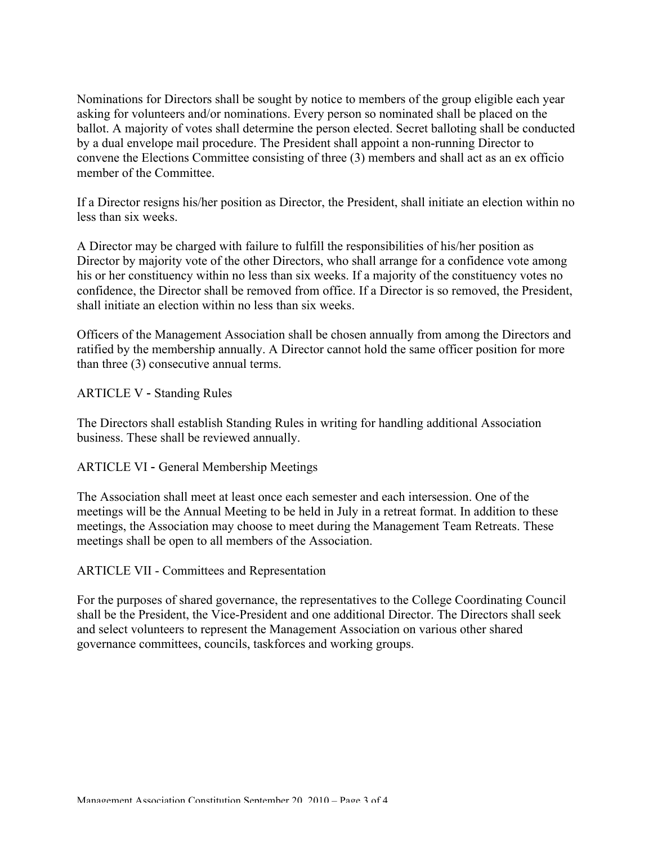Nominations for Directors shall be sought by notice to members of the group eligible each year asking for volunteers and/or nominations. Every person so nominated shall be placed on the ballot. A majority of votes shall determine the person elected. Secret balloting shall be conducted by a dual envelope mail procedure. The President shall appoint a non-running Director to convene the Elections Committee consisting of three (3) members and shall act as an ex officio member of the Committee.

If a Director resigns his/her position as Director, the President, shall initiate an election within no less than six weeks.

A Director may be charged with failure to fulfill the responsibilities of his/her position as Director by majority vote of the other Directors, who shall arrange for a confidence vote among his or her constituency within no less than six weeks. If a majority of the constituency votes no confidence, the Director shall be removed from office. If a Director is so removed, the President, shall initiate an election within no less than six weeks.

Officers of the Management Association shall be chosen annually from among the Directors and ratified by the membership annually. A Director cannot hold the same officer position for more than three (3) consecutive annual terms.

ARTICLE V - Standing Rules

The Directors shall establish Standing Rules in writing for handling additional Association business. These shall be reviewed annually.

ARTICLE VI - General Membership Meetings

The Association shall meet at least once each semester and each intersession. One of the meetings will be the Annual Meeting to be held in July in a retreat format. In addition to these meetings, the Association may choose to meet during the Management Team Retreats. These meetings shall be open to all members of the Association.

ARTICLE VII - Committees and Representation

For the purposes of shared governance, the representatives to the College Coordinating Council shall be the President, the Vice-President and one additional Director. The Directors shall seek and select volunteers to represent the Management Association on various other shared governance committees, councils, taskforces and working groups.